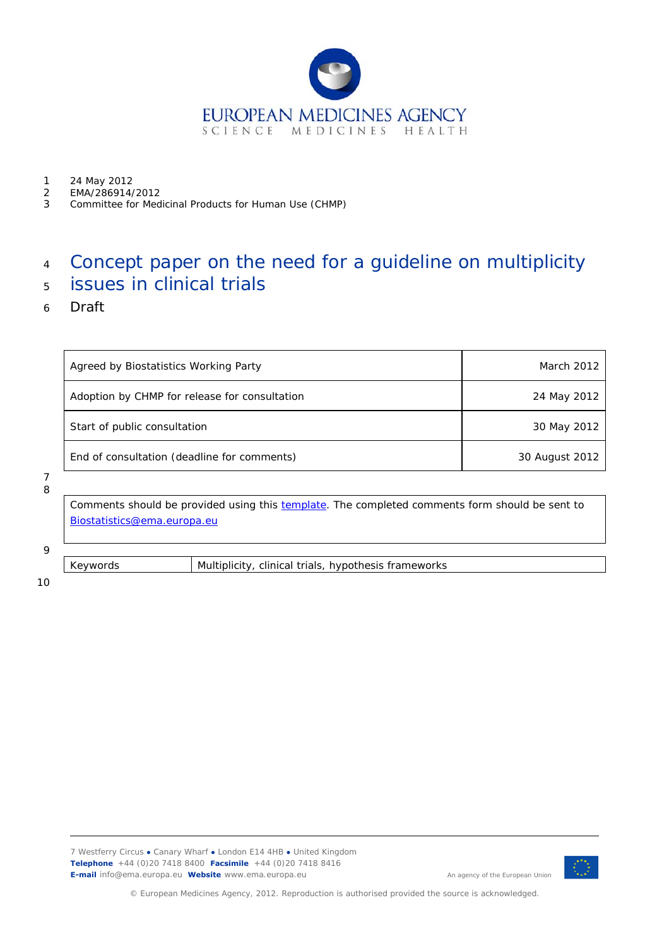

- 1 24 May 2012
- 2 EMA/286914/2012
- 3 Committee for Medicinal Products for Human Use (CHMP)

#### 4 5 Concept paper on the need for a guideline on multiplicity issues in clinical trials

6 Draft

| Agreed by Biostatistics Working Party         | March 2012     |
|-----------------------------------------------|----------------|
| Adoption by CHMP for release for consultation | 24 May 2012    |
| Start of public consultation                  | 30 May 2012    |
| End of consultation (deadline for comments)   | 30 August 2012 |

#### 7 8

Comments should be provided using this [template](http://www.ema.europa.eu/docs/en_GB/document_library/Template_or_form/2009/10/WC500004016.doc). The completed comments form should be sent to [Biostatistics@ema.europa.eu](mailto:Biostatistics@ema.europa.eu)

#### $\overline{Q}$

Keywords *Multiplicity, clinical trials, hypothesis frameworks* 

10

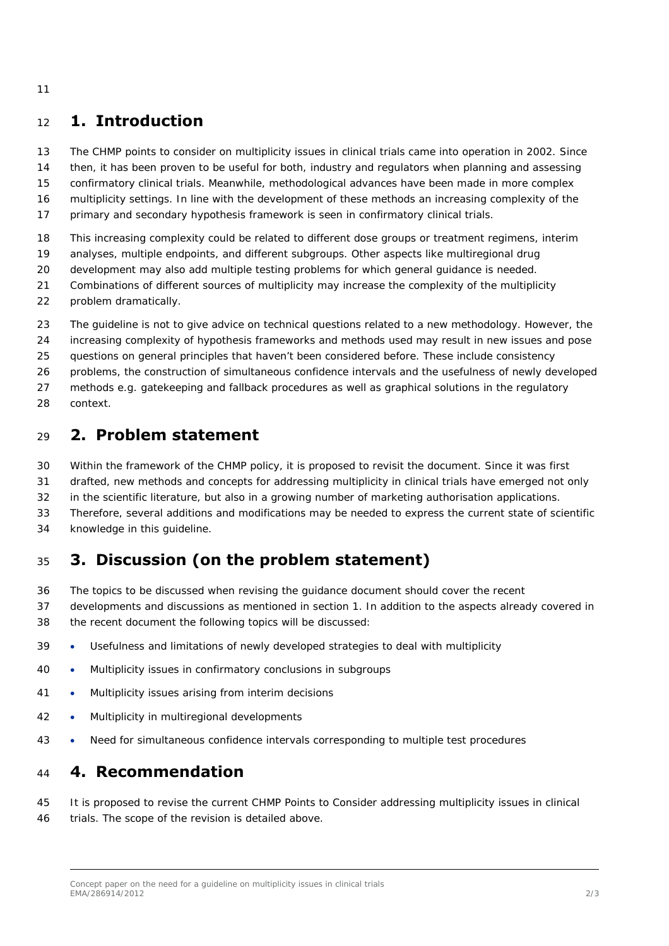## <sup>12</sup>**1. Introduction**

11

13 The CHMP points to consider on multiplicity issues in clinical trials came into operation in 2002. Since

14 then, it has been proven to be useful for both, industry and regulators when planning and assessing

- 15 confirmatory clinical trials. Meanwhile, methodological advances have been made in more complex
- 16 multiplicity settings. In line with the development of these methods an increasing complexity of the
- 17 primary and secondary hypothesis framework is seen in confirmatory clinical trials.
- 18 This increasing complexity could be related to different dose groups or treatment regimens, interim
- 19 analyses, multiple endpoints, and different subgroups. Other aspects like multiregional drug
- 20 development may also add multiple testing problems for which general guidance is needed.
- 21 Combinations of different sources of multiplicity may increase the complexity of the multiplicity
- 22 problem dramatically.
- 23 The guideline is not to give advice on technical questions related to a new methodology. However, the
- 24 increasing complexity of hypothesis frameworks and methods used may result in new issues and pose
- 25 questions on general principles that haven't been considered before. These include consistency
- 26 problems, the construction of simultaneous confidence intervals and the usefulness of newly developed
- 27 methods e.g. gatekeeping and fallback procedures as well as graphical solutions in the regulatory
- 28 context.

#### <sup>29</sup>**2. Problem statement**

- 30 Within the framework of the CHMP policy, it is proposed to revisit the document. Since it was first
- 31 drafted, new methods and concepts for addressing multiplicity in clinical trials have emerged not only
- 32 in the scientific literature, but also in a growing number of marketing authorisation applications.
- 33 Therefore, several additions and modifications may be needed to express the current state of scientific
- 34 knowledge in this guideline.

# <sup>35</sup>**3. Discussion (on the problem statement)**

- 36 The topics to be discussed when revising the guidance document should cover the recent
- 37 38 developments and discussions as mentioned in section 1. In addition to the aspects already covered in the recent document the following topics will be discussed:
- 39 Usefulness and limitations of newly developed strategies to deal with multiplicity
- 40 Multiplicity issues in confirmatory conclusions in subgroups
- 41 Multiplicity issues arising from interim decisions
- 42 Multiplicity in multiregional developments
- 43 Need for simultaneous confidence intervals corresponding to multiple test procedures

#### <sup>44</sup>**4. Recommendation**

45 It is proposed to revise the current CHMP Points to Consider addressing multiplicity issues in clinical

46 trials. The scope of the revision is detailed above.